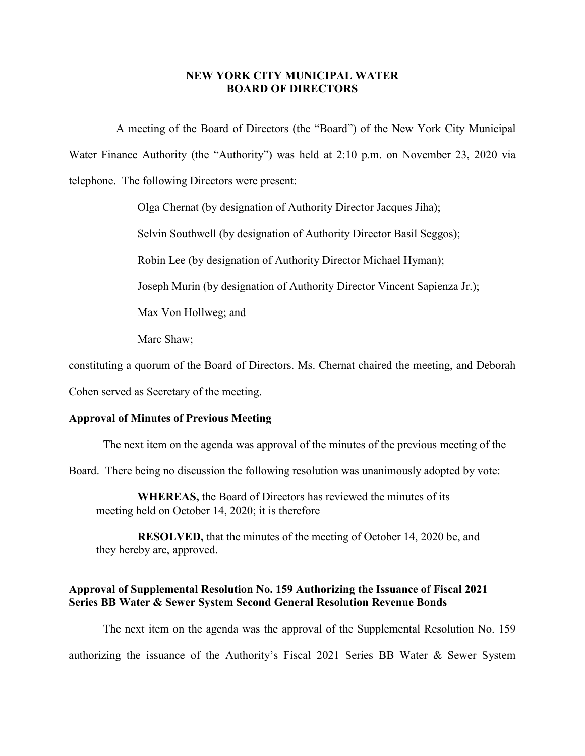### **NEW YORK CITY MUNICIPAL WATER BOARD OF DIRECTORS**

A meeting of the Board of Directors (the "Board") of the New York City Municipal Water Finance Authority (the "Authority") was held at 2:10 p.m. on November 23, 2020 via telephone. The following Directors were present:

Olga Chernat (by designation of Authority Director Jacques Jiha);

Selvin Southwell (by designation of Authority Director Basil Seggos);

Robin Lee (by designation of Authority Director Michael Hyman);

Joseph Murin (by designation of Authority Director Vincent Sapienza Jr.);

Max Von Hollweg; and

Marc Shaw;

constituting a quorum of the Board of Directors. Ms. Chernat chaired the meeting, and Deborah

Cohen served as Secretary of the meeting.

### **Approval of Minutes of Previous Meeting**

The next item on the agenda was approval of the minutes of the previous meeting of the

Board. There being no discussion the following resolution was unanimously adopted by vote:

**WHEREAS,** the Board of Directors has reviewed the minutes of its meeting held on October 14, 2020; it is therefore

**RESOLVED,** that the minutes of the meeting of October 14, 2020 be, and they hereby are, approved.

## **Approval of Supplemental Resolution No. 159 Authorizing the Issuance of Fiscal 2021 Series BB Water & Sewer System Second General Resolution Revenue Bonds**

The next item on the agenda was the approval of the Supplemental Resolution No. 159 authorizing the issuance of the Authority's Fiscal 2021 Series BB Water & Sewer System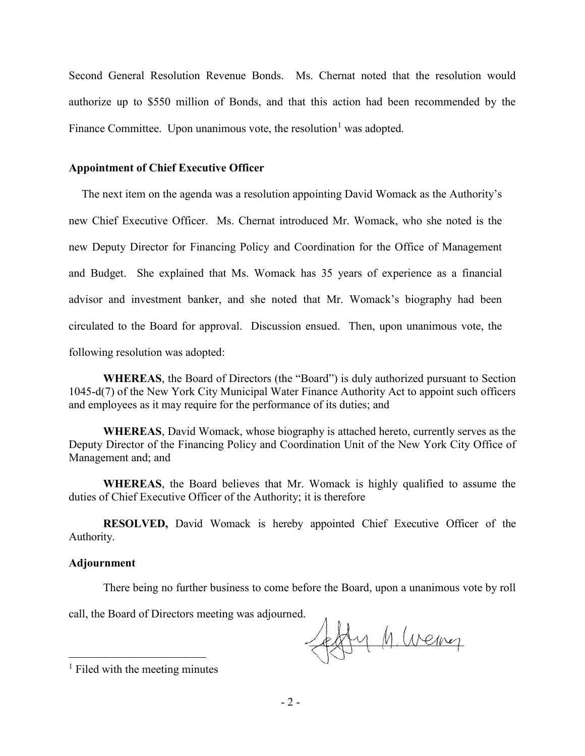Second General Resolution Revenue Bonds. Ms. Chernat noted that the resolution would authorize up to \$550 million of Bonds, and that this action had been recommended by the Finance Committee. Upon unanimous vote, the resolution<sup>[1](#page-1-0)</sup> was adopted.

## **Appointment of Chief Executive Officer**

The next item on the agenda was a resolution appointing David Womack as the Authority's new Chief Executive Officer. Ms. Chernat introduced Mr. Womack, who she noted is the new Deputy Director for Financing Policy and Coordination for the Office of Management and Budget. She explained that Ms. Womack has 35 years of experience as a financial advisor and investment banker, and she noted that Mr. Womack's biography had been circulated to the Board for approval. Discussion ensued. Then, upon unanimous vote, the following resolution was adopted:

**WHEREAS**, the Board of Directors (the "Board") is duly authorized pursuant to Section 1045-d(7) of the New York City Municipal Water Finance Authority Act to appoint such officers and employees as it may require for the performance of its duties; and

**WHEREAS**, David Womack, whose biography is attached hereto, currently serves as the Deputy Director of the Financing Policy and Coordination Unit of the New York City Office of Management and; and

**WHEREAS**, the Board believes that Mr. Womack is highly qualified to assume the duties of Chief Executive Officer of the Authority; it is therefore

**RESOLVED,** David Womack is hereby appointed Chief Executive Officer of the Authority.

#### **Adjournment**

There being no further business to come before the Board, upon a unanimous vote by roll

call, the Board of Directors meeting was adjourned.

 $\notag$ y h weing

<span id="page-1-0"></span> $<sup>1</sup>$  Filed with the meeting minutes</sup>